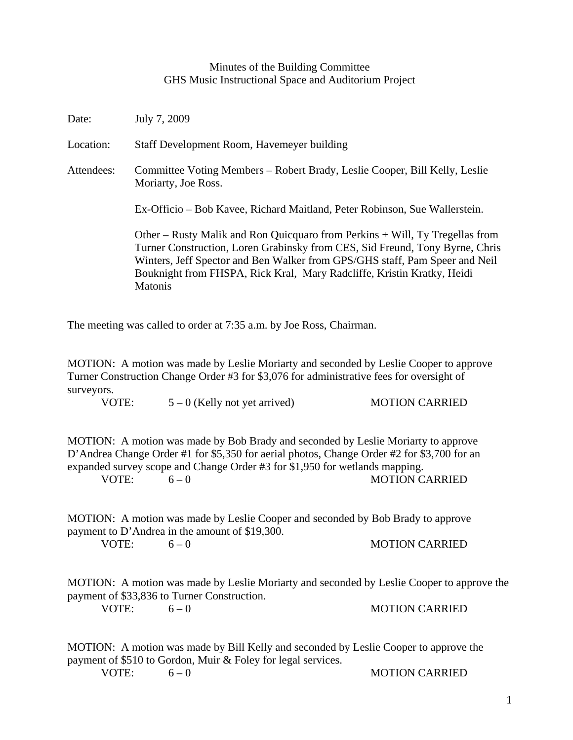## Minutes of the Building Committee GHS Music Instructional Space and Auditorium Project

| Date:      | July 7, 2009                                                                                                                                                                                                                                                                                                                            |
|------------|-----------------------------------------------------------------------------------------------------------------------------------------------------------------------------------------------------------------------------------------------------------------------------------------------------------------------------------------|
| Location:  | Staff Development Room, Havemeyer building                                                                                                                                                                                                                                                                                              |
| Attendees: | Committee Voting Members – Robert Brady, Leslie Cooper, Bill Kelly, Leslie<br>Moriarty, Joe Ross.                                                                                                                                                                                                                                       |
|            | Ex-Officio – Bob Kavee, Richard Maitland, Peter Robinson, Sue Wallerstein.                                                                                                                                                                                                                                                              |
|            | Other – Rusty Malik and Ron Quicquaro from Perkins + Will, Ty Tregellas from<br>Turner Construction, Loren Grabinsky from CES, Sid Freund, Tony Byrne, Chris<br>Winters, Jeff Spector and Ben Walker from GPS/GHS staff, Pam Speer and Neil<br>Bouknight from FHSPA, Rick Kral, Mary Radcliffe, Kristin Kratky, Heidi<br><b>Matonis</b> |

The meeting was called to order at 7:35 a.m. by Joe Ross, Chairman.

MOTION: A motion was made by Leslie Moriarty and seconded by Leslie Cooper to approve Turner Construction Change Order #3 for \$3,076 for administrative fees for oversight of surveyors.

VOTE:  $5-0$  (Kelly not yet arrived) MOTION CARRIED

MOTION: A motion was made by Bob Brady and seconded by Leslie Moriarty to approve D'Andrea Change Order #1 for \$5,350 for aerial photos, Change Order #2 for \$3,700 for an expanded survey scope and Change Order #3 for \$1,950 for wetlands mapping.

VOTE:  $6-0$  MOTION CARRIED

MOTION: A motion was made by Leslie Cooper and seconded by Bob Brady to approve payment to D'Andrea in the amount of \$19,300.

VOTE:  $6-0$  MOTION CARRIED

MOTION: A motion was made by Leslie Moriarty and seconded by Leslie Cooper to approve the payment of \$33,836 to Turner Construction.

VOTE:  $6-0$  MOTION CARRIED

MOTION: A motion was made by Bill Kelly and seconded by Leslie Cooper to approve the payment of \$510 to Gordon, Muir & Foley for legal services. VOTE:  $6-0$  MOTION CARRIED